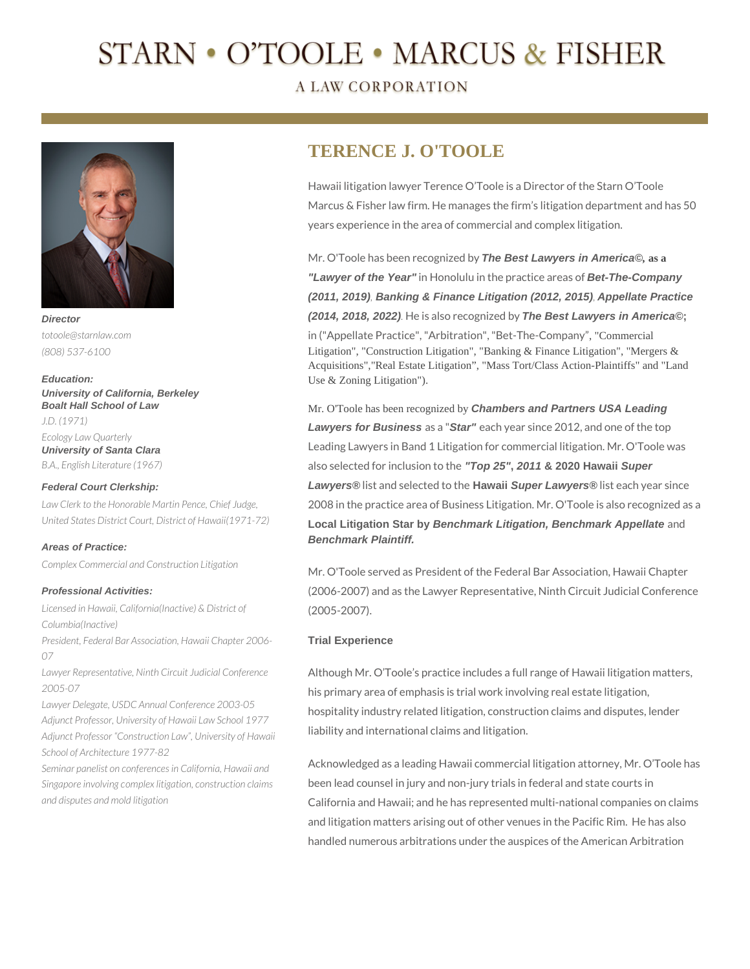# STARN • O'TOOLE • MARCUS & FISHER

### **A LAW CORPORATION**



*totoole@starnlaw.com (808) 537-6100*

**Education: University of California, Berkeley Boalt Hall School of Law** *J.D. (1971) Ecology Law Quarterly* **University of Santa Clara** *B.A., English Literature (1967)*

#### **Federal Court Clerkship:**

*Law Clerk to the Honorable Martin Pence, Chief Judge, United States District Court, District of Hawaii(1971-72)*

#### **Areas of Practice:**

*Complex Commercial and Construction Litigation*

#### **Professional Activities:**

*Licensed in Hawaii, California(Inactive) & District of Columbia(Inactive)*

*President, Federal Bar Association, Hawaii Chapter 2006- 07*

*Lawyer Representative, Ninth Circuit Judicial Conference 2005-07*

*Lawyer Delegate, USDC Annual Conference 2003-05 Adjunct Professor, University of Hawaii Law School 1977 Adjunct Professor "Construction Law", University of Hawaii School of Architecture 1977-82*

*Seminar panelist on conferences in California, Hawaii and Singapore involving complex litigation, construction claims and disputes and mold litigation* 

## **TERENCE J. O'TOOLE**

Hawaii litigation lawyer Terence O'Toole is a Director of the Starn O'Toole Marcus & Fisher law firm. He manages the firm's litigation department and has 50 years experience in the area of commercial and complex litigation.

Mr. O'Toole has been recognized by **The Best Lawyers in America©***,* **as a "Lawyer of the Year"** in Honolulu in the practice areas of **Bet-The-Company (2011, 2019)***,* **Banking & Finance Litigation (2012, 2015)***,* **Appellate Practice (2014, 2018, 2022)***.* He is also recognized by **The Best Lawyers in America©;** 

in ("Appellate Practice", "Arbitration", "Bet-The-Company", "Commercial Litigation", "Construction Litigation", "Banking & Finance Litigation", "Mergers & Acquisitions","Real Estate Litigation", "Mass Tort/Class Action-Plaintiffs" and "Land Use & Zoning Litigation").

Mr. O'Toole has been recognized by **Chambers and Partners USA Leading Lawyers for Business** as a "**Star"** each year since 2012, and one of the top Leading Lawyers in Band 1 Litigation for commercial litigation. Mr. O'Toole was also selected for inclusion to the **"Top 25", 2011 & 2020 Hawaii Super Lawyers®** list and selected to the **Hawaii Super Lawyers®** list each year since 2008 in the practice area of Business Litigation. Mr. O'Toole is also recognized as a **Local Litigation Star by Benchmark Litigation, Benchmark Appellate** and **Benchmark Plaintiff.**

Mr. O'Toole served as President of the Federal Bar Association, Hawaii Chapter (2006-2007) and as the Lawyer Representative, Ninth Circuit Judicial Conference (2005-2007).

#### **Trial Experience**

Although Mr. O'Toole's practice includes a full range of Hawaii litigation matters, his primary area of emphasis is trial work involving real estate litigation, hospitality industry related litigation, construction claims and disputes, lender liability and international claims and litigation.

Acknowledged as a leading Hawaii commercial litigation attorney, Mr. O'Toole has been lead counsel in jury and non-jury trials in federal and state courts in California and Hawaii; and he has represented multi-national companies on claims and litigation matters arising out of other venues in the Pacific Rim. He has also handled numerous arbitrations under the auspices of the American Arbitration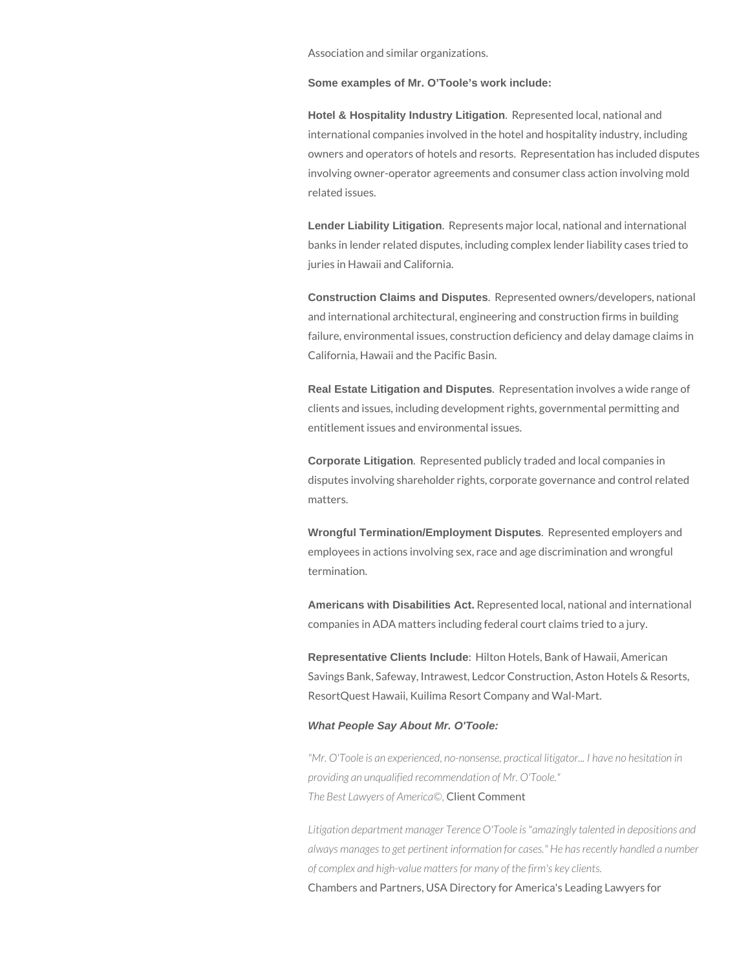Association and similar organizations.

**Some examples of Mr. O'Toole's work include:**

**Hotel & Hospitality Industry Litigation**. Represented local, national and international companies involved in the hotel and hospitality industry, including owners and operators of hotels and resorts. Representation has included disputes involving owner-operator agreements and consumer class action involving mold related issues.

**Lender Liability Litigation**. Represents major local, national and international banks in lender related disputes, including complex lender liability cases tried to juries in Hawaii and California.

**Construction Claims and Disputes**. Represented owners/developers, national and international architectural, engineering and construction firms in building failure, environmental issues, construction deficiency and delay damage claims in California, Hawaii and the Pacific Basin.

**Real Estate Litigation and Disputes**. Representation involves a wide range of clients and issues, including development rights, governmental permitting and entitlement issues and environmental issues.

**Corporate Litigation**. Represented publicly traded and local companies in disputes involving shareholder rights, corporate governance and control related matters.

**Wrongful Termination/Employment Disputes**. Represented employers and employees in actions involving sex, race and age discrimination and wrongful termination.

**Americans with Disabilities Act.** Represented local, national and international companies in ADA matters including federal court claims tried to a jury.

**Representative Clients Include**: Hilton Hotels, Bank of Hawaii, American Savings Bank, Safeway, Intrawest, Ledcor Construction, Aston Hotels & Resorts, ResortQuest Hawaii, Kuilima Resort Company and Wal-Mart.

#### **What People Say About Mr. O'Toole:**

*"Mr. O'Toole is an experienced, no-nonsense, practical litigator... I have no hesitation in providing an unqualified recommendation of Mr. O'Toole." The Best Lawyers of America©,* Client Comment

*Litigation department manager Terence O'Toole is "amazingly talented in depositions and always manages to get pertinent information for cases." He has recently handled a number of complex and high-value matters for many of the firm's key clients.* Chambers and Partners, USA Directory for America's Leading Lawyers for